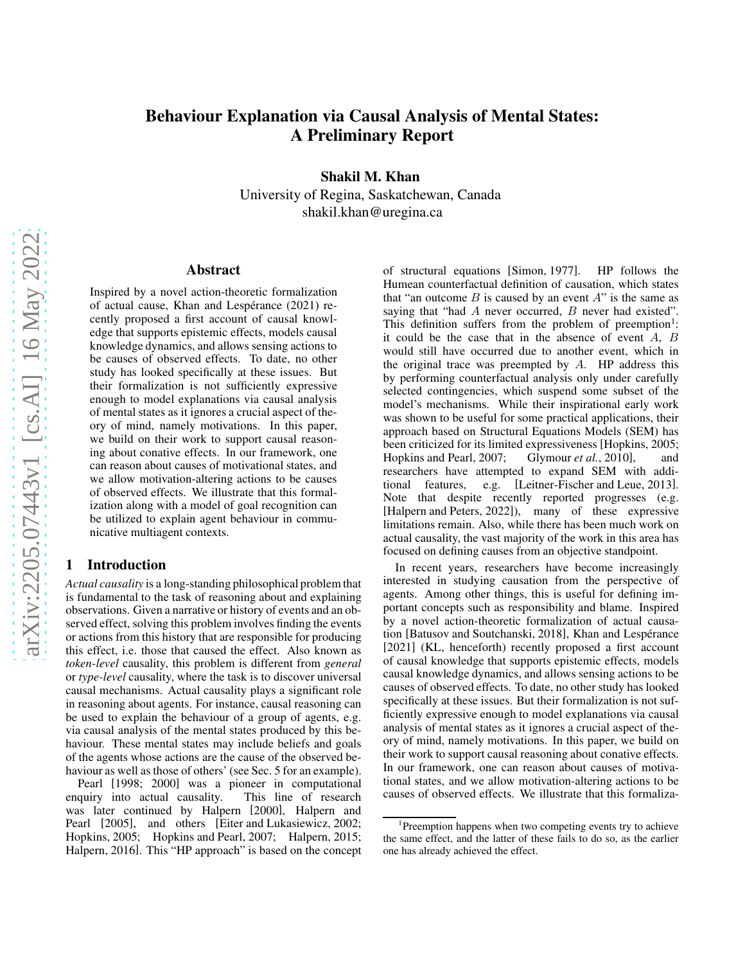# Behaviour Explanation via Causal Analysis of Mental States: A Preliminary Report

Shakil M. Khan

University of Regina, Saskatchewan, Canada shakil.khan@uregina.ca

#### Abstract

Inspired by a novel action-theoretic formalization of actual cause, Khan and Lespérance (2021) recently proposed a first account of causal knowledge that supports epistemic effects, models causal knowledge dynamics, and allows sensing actions to be causes of observed effects. To date, no other study has looked specifically at these issues. But their formalization is not sufficiently expressive enough to model explanations via causal analysis of mental states as it ignores a crucial aspect of theory of mind, namely motivations. In this paper, we build on their work to support causal reasoning about conative effects. In our framework, one can reason about causes of motivational states, and we allow motivation-altering actions to be causes of observed effects. We illustrate that this formalization along with a model of goal recognition can be utilized to explain agent behaviour in communicative multiagent contexts.

### 1 Introduction

*Actual causality* is a long-standing philosophical problem that is fundamental to the task of reasoning about and explaining observations. Given a narrative or history of events and an observed effect, solving this problem involves finding the events or actions from this history that are responsible for producing this effect, i.e. those that caused the effect. Also known as *token-level* causality, this problem is different from *general* or *type-level* causality, where the task is to discover universal causal mechanisms. Actual causality plays a significant role in reasoning about agents. For instance, causal reasoning can be used to explain the behaviour of a group of agents, e.g. via causal analysis of the mental states produced by this behaviour. These mental states may include beliefs and goals of the agents whose actions are the cause of the observed behaviour as well as those of others' (see Sec. 5 for an example).

Pearl [\[1998;](#page-7-0) [2000\]](#page-7-1) was a pioneer in computational enquiry into actual causality. This line of research was later continued by Halpern [\[2000\]](#page-6-0), Halpern and Pearl [\[2005\]](#page-6-1), and others [\[Eiter and Lukasiewicz, 2002;](#page-6-2) [Hopkins, 2005;](#page-6-3) [Hopkins and Pearl, 2007;](#page-6-4) [Halpern, 2015;](#page-6-5) [Halpern, 2016\]](#page-6-6). This "HP approach" is based on the concept of structural equations [\[Simon, 1977\]](#page-7-2). HP follows the Humean counterfactual definition of causation, which states that "an outcome  $B$  is caused by an event  $A$ " is the same as saying that "had A never occurred, B never had existed". This definition suffers from the problem of preemption<sup>[1](#page-0-0)</sup>: it could be the case that in the absence of event A, B would still have occurred due to another event, which in the original trace was preempted by  $A$ . HP address this by performing counterfactual analysis only under carefully selected contingencies, which suspend some subset of the model's mechanisms. While their inspirational early work was shown to be useful for some practical applications, their approach based on Structural Equations Models (SEM) has been criticized for its limited expressiveness [\[Hopkins, 2005;](#page-6-3) [Hopkins and Pearl, 2007;](#page-6-4) [Glymour](#page-6-7) *et al.*, 2010], and researchers have attempted to expand SEM with additional features, e.g. [\[Leitner-Fischer and Leue, 2013\]](#page-7-3). Note that despite recently reported progresses (e.g. [\[Halpern and Peters, 2022\]](#page-6-8)), many of these expressive limitations remain. Also, while there has been much work on actual causality, the vast majority of the work in this area has focused on defining causes from an objective standpoint.

In recent years, researchers have become increasingly interested in studying causation from the perspective of agents. Among other things, this is useful for defining important concepts such as responsibility and blame. Inspired by a novel action-theoretic formalization of actual causa-tion [\[Batusov and Soutchanski, 2018\]](#page-6-9), Khan and Lespérance [\[2021\]](#page-6-10) (KL, henceforth) recently proposed a first account of causal knowledge that supports epistemic effects, models causal knowledge dynamics, and allows sensing actions to be causes of observed effects. To date, no other study has looked specifically at these issues. But their formalization is not sufficiently expressive enough to model explanations via causal analysis of mental states as it ignores a crucial aspect of theory of mind, namely motivations. In this paper, we build on their work to support causal reasoning about conative effects. In our framework, one can reason about causes of motivational states, and we allow motivation-altering actions to be causes of observed effects. We illustrate that this formaliza-

<span id="page-0-0"></span><sup>&</sup>lt;sup>1</sup>Preemption happens when two competing events try to achieve the same effect, and the latter of these fails to do so, as the earlier one has already achieved the effect.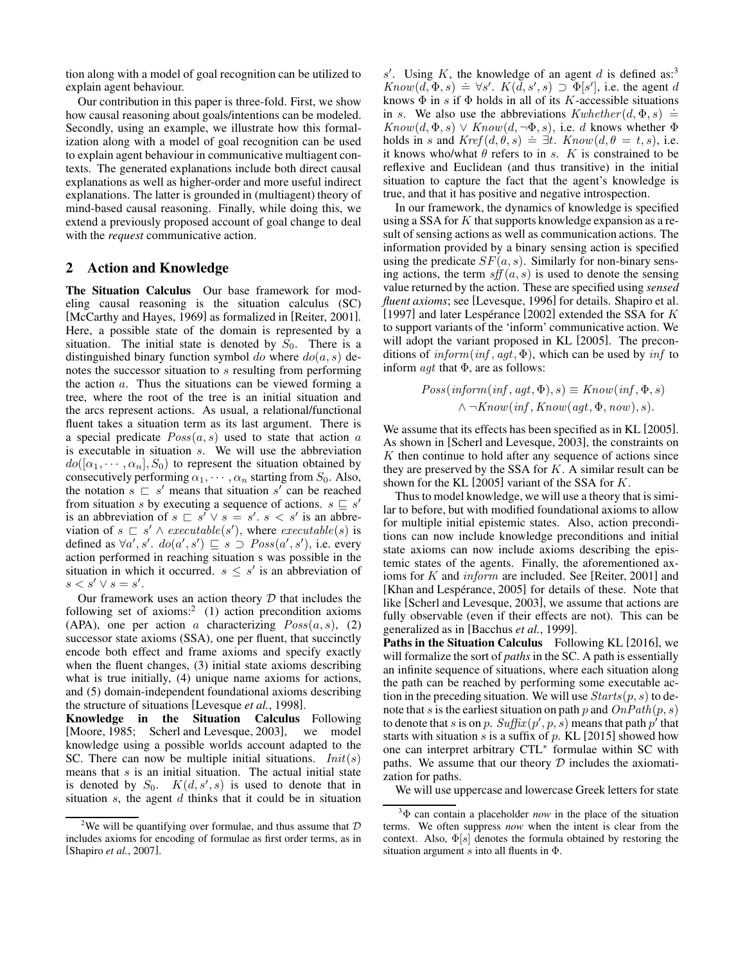tion along with a model of goal recognition can be utilized to explain agent behaviour.

Our contribution in this paper is three-fold. First, we show how causal reasoning about goals/intentions can be modeled. Secondly, using an example, we illustrate how this formalization along with a model of goal recognition can be used to explain agent behaviour in communicative multiagent contexts. The generated explanations include both direct causal explanations as well as higher-order and more useful indirect explanations. The latter is grounded in (multiagent) theory of mind-based causal reasoning. Finally, while doing this, we extend a previously proposed account of goal change to deal with the *request* communicative action.

### 2 Action and Knowledge

The Situation Calculus Our base framework for modeling causal reasoning is the situation calculus (SC) [\[McCarthy and Hayes, 1969\]](#page-7-4) as formalized in [\[Reiter, 2001\]](#page-7-5). Here, a possible state of the domain is represented by a situation. The initial state is denoted by  $S_0$ . There is a distinguished binary function symbol do where  $do(a, s)$  denotes the successor situation to s resulting from performing the action  $a$ . Thus the situations can be viewed forming a tree, where the root of the tree is an initial situation and the arcs represent actions. As usual, a relational/functional fluent takes a situation term as its last argument. There is a special predicate  $Poss(a, s)$  used to state that action a is executable in situation s. We will use the abbreviation  $do([\alpha_1, \cdots, \alpha_n], S_0)$  to represent the situation obtained by consecutively performing  $\alpha_1, \cdots, \alpha_n$  starting from  $S_0$ . Also, the notation  $s \rightharpoonup s'$  means that situation  $s'$  can be reached from situation s by executing a sequence of actions.  $s \subseteq s'$ is an abbreviation of  $s \subseteq s' \vee s = s'$ .  $s < s'$  is an abbreviation of  $s \subseteq s' \land \text{execute}(s')$ , where  $\text{execute}(s)$  is defined as  $\forall a', s'$ .  $do(a', s') \sqsubseteq s \supseteq Poss(a', s')$ , i.e. every action performed in reaching situation s was possible in the situation in which it occurred.  $s \leq s'$  is an abbreviation of  $s < s' \vee s = s'.$ 

Our framework uses an action theory  $D$  that includes the following set of axioms:<sup>[2](#page-1-0)</sup> (1) action precondition axioms (APA), one per action a characterizing  $Poss(a, s)$ , (2) successor state axioms (SSA), one per fluent, that succinctly encode both effect and frame axioms and specify exactly when the fluent changes, (3) initial state axioms describing what is true initially, (4) unique name axioms for actions, and (5) domain-independent foundational axioms describing the structure of situations [\[Levesque](#page-7-6) *et al.*, 1998].

Knowledge in the Situation Calculus Following [\[Moore, 1985;](#page-7-7) [Scherl and Levesque, 2003\]](#page-7-8), we model knowledge using a possible worlds account adapted to the SC. There can now be multiple initial situations.  $Init(s)$ means that  $s$  is an initial situation. The actual initial state is denoted by  $S_0$ .  $K(d, s', s)$  is used to denote that in situation  $s$ , the agent  $d$  thinks that it could be in situation

s'. Using K, the knowledge of an agent  $d$  is defined as:<sup>[3](#page-1-1)</sup> Know $(d, \Phi, s) \doteq \forall s'$ .  $K(d, s', s) \supset \Phi[s']$ , i.e. the agent d knows  $\Phi$  in s if  $\Phi$  holds in all of its K-accessible situations in s. We also use the abbreviations  $Kwhether(d, \Phi, s) \doteq$  $Know(d, \Phi, s) \lor Know(d, \neg \Phi, s)$ , i.e. d knows whether  $\Phi$ holds in s and  $Kref(d, \theta, s) \doteq \exists t$ . Know(d,  $\theta = t, s$ ), i.e. it knows who/what  $\theta$  refers to in s. K is constrained to be reflexive and Euclidean (and thus transitive) in the initial situation to capture the fact that the agent's knowledge is true, and that it has positive and negative introspection.

In our framework, the dynamics of knowledge is specified using a SSA for K that supports knowledge expansion as a result of sensing actions as well as communication actions. The information provided by a binary sensing action is specified using the predicate  $SF(a, s)$ . Similarly for non-binary sensing actions, the term  $\text{sf } f(a, s)$  is used to denote the sensing value returned by the action. These are specified using *sensed fluent axioms*; see [\[Levesque, 1996\]](#page-7-10) for details. Shapiro et al. [\[1997\]](#page-7-11) and later Lespérance [\[2002\]](#page-7-12) extended the SSA for  $K$ to support variants of the 'inform' communicative action. We will adopt the variant proposed in KL [\[2005\]](#page-6-11). The preconditions of  $\text{inform}(\text{inf}, \text{agt}, \Phi)$ , which can be used by  $\text{inf}$  to inform  $agt$  that  $\Phi$ , are as follows:

$$
Poss(inform(inf, agt, \Phi), s) \equiv Know(inf, \Phi, s)
$$

$$
\land \neg Know(inf, Know(ggt, \Phi, now), s).
$$

We assume that its effects has been specified as in KL [\[2005\]](#page-6-11). As shown in [\[Scherl and Levesque, 2003\]](#page-7-8), the constraints on  $K$  then continue to hold after any sequence of actions since they are preserved by the SSA for  $K$ . A similar result can be shown for the KL [\[2005\]](#page-6-11) variant of the SSA for K.

Thus to model knowledge, we will use a theory that is similar to before, but with modified foundational axioms to allow for multiple initial epistemic states. Also, action preconditions can now include knowledge preconditions and initial state axioms can now include axioms describing the epistemic states of the agents. Finally, the aforementioned axioms for K and inform are included. See [\[Reiter, 2001\]](#page-7-5) and [Khan and Lespérance, 2005] for details of these. Note that like [\[Scherl and Levesque, 2003\]](#page-7-8), we assume that actions are fully observable (even if their effects are not). This can be generalized as in [\[Bacchus](#page-6-12) *et al.*, 1999].

Paths in the Situation Calculus Following KL [\[2016\]](#page-6-13), we will formalize the sort of *paths*in the SC. A path is essentially an infinite sequence of situations, where each situation along the path can be reached by performing some executable action in the preceding situation. We will use  $Starts(p, s)$  to denote that s is the earliest situation on path p and  $OnPath(p, s)$ to denote that s is on p.  $\mathcal{S} \mathcal{L} \mathcal{H} \mathcal{L} (p', p, s)$  means that path  $p'$  that starts with situation s is a suffix of p. KL [\[2015\]](#page-6-14) showed how one can interpret arbitrary CTL<sup>∗</sup> formulae within SC with paths. We assume that our theory  $D$  includes the axiomatization for paths.

We will use uppercase and lowercase Greek letters for state

<span id="page-1-0"></span><sup>&</sup>lt;sup>2</sup>We will be quantifying over formulae, and thus assume that  $\mathcal D$ includes axioms for encoding of formulae as first order terms, as in [\[Shapiro](#page-7-9) *et al.*, 2007].

<span id="page-1-1"></span><sup>3</sup>Φ can contain a placeholder *now* in the place of the situation terms. We often suppress *now* when the intent is clear from the context. Also,  $\Phi[s]$  denotes the formula obtained by restoring the situation argument s into all fluents in  $\Phi$ .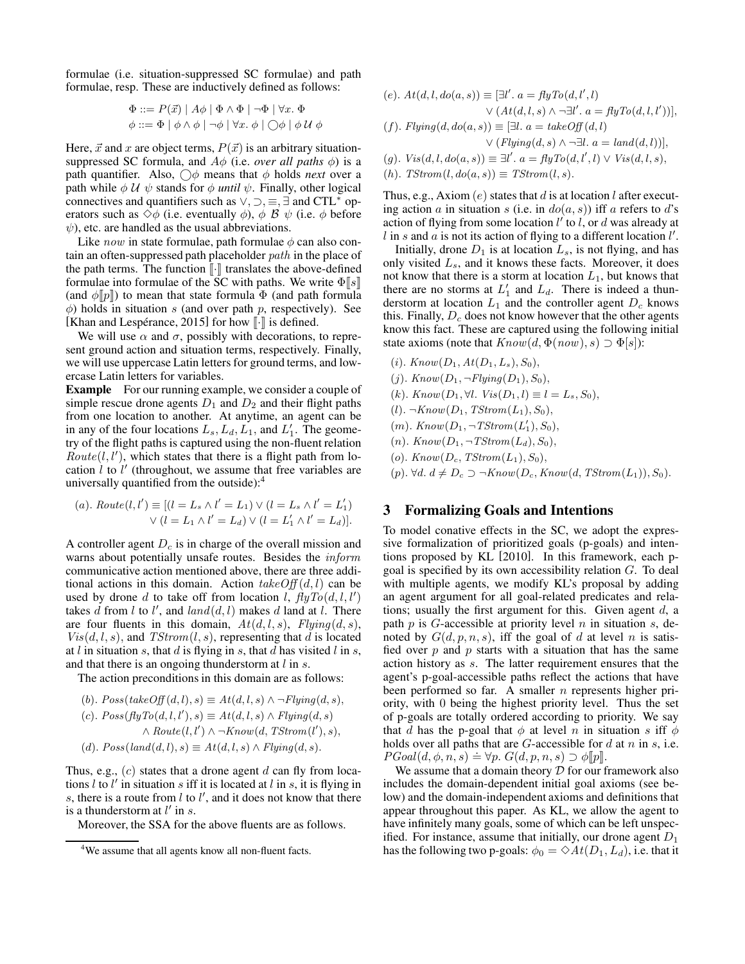formulae (i.e. situation-suppressed SC formulae) and path formulae, resp. These are inductively defined as follows:

$$
\Phi ::= P(\vec{x}) | A\phi | \Phi \wedge \Phi | \neg \Phi | \forall x. \Phi
$$
  

$$
\phi ::= \Phi | \phi \wedge \phi | \neg \phi | \forall x. \phi | \bigcirc \phi | \phi \mathcal{U} \phi
$$

Here,  $\vec{x}$  and x are object terms,  $P(\vec{x})$  is an arbitrary situationsuppressed SC formula, and  $A\phi$  (i.e. *over all paths*  $\phi$ ) is a path quantifier. Also,  $\bigcirc \phi$  means that  $\phi$  holds *next* over a path while  $\phi \mathcal{U} \psi$  stands for  $\phi$  *until*  $\psi$ . Finally, other logical connectives and quantifiers such as  $\vee$ ,  $\supset$ ,  $\equiv$ ,  $\exists$  and CTL<sup>\*</sup> operators such as  $\diamond \phi$  (i.e. eventually  $\phi$ ),  $\phi \mathcal{B} \psi$  (i.e.  $\phi$  before  $\psi$ ), etc. are handled as the usual abbreviations.

Like *now* in state formulae, path formulae  $\phi$  can also contain an often-suppressed path placeholder path in the place of the path terms. The function  $\lbrack \cdot \rbrack$  translates the above-defined formulae into formulae of the SC with paths. We write  $\Phi \| s \|$ (and  $\phi$ [p]) to mean that state formula  $\Phi$  (and path formula  $\phi$ ) holds in situation s (and over path p, respectively). See [Khan and Lespérance, 2015] for how  $\lbrack \cdot \rbrack$  is defined.

We will use  $\alpha$  and  $\sigma$ , possibly with decorations, to represent ground action and situation terms, respectively. Finally, we will use uppercase Latin letters for ground terms, and lowercase Latin letters for variables.

Example For our running example, we consider a couple of simple rescue drone agents  $D_1$  and  $D_2$  and their flight paths from one location to another. At anytime, an agent can be in any of the four locations  $L_s$ ,  $L_d$ ,  $\overline{L}_1$ , and  $L'_1$ . The geometry of the flight paths is captured using the non-fluent relation  $\overrightarrow{Route}(l, l')$ , which states that there is a flight path from location  $\hat{l}$  to  $\hat{l}'$  (throughout, we assume that free variables are universally quantified from the outside):[4](#page-2-0)

(a). 
$$
Rowte(l, l') \equiv [(l = L_s \wedge l' = L_1) \vee (l = L_s \wedge l' = L'_1) \vee (l = L_1 \wedge l' = L_d) \vee (l = L'_1 \wedge l' = L_d)].
$$

A controller agent  $D<sub>c</sub>$  is in charge of the overall mission and warns about potentially unsafe routes. Besides the inform communicative action mentioned above, there are three additional actions in this domain. Action  $takeOff(d, l)$  can be used by drone d to take off from location  $\int_{l}^{\infty} \hat{f} \hat{f} y T o(d, l, l')$ takes  $\tilde{d}$  from l to l', and  $land(d, l)$  makes  $d$  land at l. There are four fluents in this domain,  $At(d, l, s)$ ,  $Flying(d, s)$ ,  $Vis(d, l, s)$ , and  $TStrom(l, s)$ , representing that d is located at l in situation s, that d is flying in s, that d has visited l in s, and that there is an ongoing thunderstorm at  $l$  in s.

The action preconditions in this domain are as follows:

(b).  $Poss(takeOff(d, l), s) \equiv At(d, l, s) \land \neg Flying(d, s),$ (c).  $Poss(flyTo(d, l, l'), s) \equiv At(d, l, s) \wedge Flying(d, s)$  $\land$  Route(l, l')  $\land \neg Know(d, TStrom(l'), s)$ , (d).  $Poss(land(d, l), s) \equiv At(d, l, s) \wedge Flying(d, s).$ 

Thus, e.g.,  $(c)$  states that a drone agent  $d$  can fly from locations  $l$  to  $l'$  in situation  $s$  iff it is located at  $l$  in  $s$ , it is flying in s, there is a route from  $l$  to  $l'$ , and it does not know that there is a thunderstorm at  $l'$  in s.

Moreover, the SSA for the above fluents are as follows.

(e). 
$$
At(d, l, do(a, s)) \equiv [\exists l'. a = flyTo(d, l', l)
$$
  
 $\lor (At(d, l, s) \land \neg \exists l'. a = flyTo(d, l, l'))],$ 

(f). 
$$
Flying(d, do(a, s)) \equiv [\exists l. a = takeOff(d, l)
$$
  

$$
\vee (Flying(d, s) \wedge \neg \exists l. a = land(d, l))],
$$

$$
\begin{array}{ccc}\n\sqrt{1} & \sqrt{1} & \sqrt{1} & \sqrt{1} \\
\sqrt{1} & \sqrt{1} & \sqrt{1} & \sqrt{1} \\
\sqrt{1} & \sqrt{1} & \sqrt{1} & \sqrt{1} \\
\sqrt{1} & \sqrt{1} & \sqrt{1} & \sqrt{1} \\
\sqrt{1} & \sqrt{1} & \sqrt{1} & \sqrt{1} \\
\sqrt{1} & \sqrt{1} & \sqrt{1} & \sqrt{1} \\
\sqrt{1} & \sqrt{1} & \sqrt{1} & \sqrt{1} \\
\sqrt{1} & \sqrt{1} & \sqrt{1} & \sqrt{1} \\
\sqrt{1} & \sqrt{1} & \sqrt{1} & \sqrt{1} \\
\sqrt{1} & \sqrt{1} & \sqrt{1} & \sqrt{1} \\
\sqrt{1} & \sqrt{1} & \sqrt{1} & \sqrt{1} \\
\sqrt{1} & \sqrt{1} & \sqrt{1} & \sqrt{1} \\
\sqrt{1} & \sqrt{1} & \sqrt{1} & \sqrt{1} \\
\sqrt{1} & \sqrt{1} & \sqrt{1} & \sqrt{1} \\
\sqrt{1} & \sqrt{1} & \sqrt{1} & \sqrt{1} \\
\sqrt{1} & \sqrt{1} & \sqrt{1} & \sqrt{1} \\
\sqrt{1} & \sqrt{1} & \sqrt{1} & \sqrt{1} \\
\sqrt{1} & \sqrt{1} & \sqrt{1} & \sqrt{1} \\
\sqrt{1} & \sqrt{1} & \sqrt{1} & \sqrt{1} \\
\sqrt{1} & \sqrt{1} & \sqrt{1} & \sqrt{1} \\
\sqrt{1} & \sqrt{1} & \sqrt{1} & \sqrt{1} \\
\sqrt{1} & \sqrt{1} & \sqrt{1} & \sqrt{1} \\
\sqrt{1} & \sqrt{1} & \sqrt{1} & \sqrt{1} \\
\sqrt{1} & \sqrt{1} & \sqrt{1} & \sqrt{1} \\
\sqrt{1} & \sqrt{1} & \sqrt{1} & \sqrt{1} \\
\sqrt{1} & \sqrt{1} & \sqrt{1} & \sqrt{1} \\
\sqrt{1} & \sqrt{1} & \sqrt{1} & \sqrt{1} \\
\sqrt{1} & \sqrt{1} & \sqrt{1} & \sqrt{1} \\
\sqrt{1} & \sqrt{1} & \sqrt{1} & \sqrt{1} \\
\sqrt{1} & \sqrt{1} & \sqrt{1} & \sqrt{1} \\
\sqrt{1} & \sqrt{1} & \sqrt{1} & \sqrt{1} \\
\sqrt{1} & \sqrt
$$

$$
(g). Vis(d, l, do(a, s)) \equiv \exists l'. a = flyTo(d, l', l) \lor Vis(d, l, s),
$$

(h).  $TStrom(l, do(a, s)) \equiv TStrom(l, s)$ .

Thus, e.g., Axiom  $(e)$  states that d is at location l after executing action a in situation s (i.e. in  $do(a, s)$ ) iff a refers to d's action of flying from some location  $l'$  to  $l'$ , or d was already at l in s and a is not its action of flying to a different location  $l'$ .

Initially, drone  $D_1$  is at location  $L_s$ , is not flying, and has only visited  $L<sub>s</sub>$ , and it knows these facts. Moreover, it does not know that there is a storm at location  $L_1$ , but knows that there are no storms at  $L'_1$  and  $L_d$ . There is indeed a thunderstorm at location  $L_1$  and the controller agent  $D_c$  knows this. Finally,  $D_c$  does not know however that the other agents know this fact. These are captured using the following initial state axioms (note that  $Know(d, \Phi(now), s) \supset \Phi[s]$ ):

- $(i)$ . Know $(D_1, At(D_1, L_s), S_0)$ ,
- $(j)$ . Know $(D_1, \neg Flying(D_1), S_0)$ ,
- (k).  $Know(D_1, \forall l. Vis(D_1, l) \equiv l = L_s, S_0),$
- $(l)$ .  $\neg Know(D_1, TStrom(L_1), S_0),$
- $(m)$ . Know $(D_1, \neg TStrom(L'_1), S_0),$
- $(n)$ . Know $(D_1, \neg TStrom(L_d), S_0)$ ,
- (o).  $Know(D_c, TStrom(L_1), S_0),$
- (p).  $\forall d. d \neq D_c \supset \neg Know(D_c, Know(d, TStrom(L_1)), S_0).$

## 3 Formalizing Goals and Intentions

To model conative effects in the SC, we adopt the expressive formalization of prioritized goals (p-goals) and intentions proposed by KL [\[2010\]](#page-6-15). In this framework, each pgoal is specified by its own accessibility relation  $G$ . To deal with multiple agents, we modify KL's proposal by adding an agent argument for all goal-related predicates and relations; usually the first argument for this. Given agent  $d$ , a path  $p$  is  $G$ -accessible at priority level  $n$  in situation  $s$ , denoted by  $G(d, p, n, s)$ , iff the goal of d at level n is satisfied over  $p$  and  $p$  starts with a situation that has the same action history as s. The latter requirement ensures that the agent's p-goal-accessible paths reflect the actions that have been performed so far. A smaller  $n$  represents higher priority, with 0 being the highest priority level. Thus the set of p-goals are totally ordered according to priority. We say that d has the p-goal that  $\phi$  at level n in situation s iff  $\phi$ holds over all paths that are  $G$ -accessible for  $d$  at  $n$  in  $s$ , i.e. *PGoal*( $d, \phi, n, s$ )  $\Rightarrow \forall p$ .  $G(d, p, n, s) \supset \phi$ [p].

We assume that a domain theory  $D$  for our framework also includes the domain-dependent initial goal axioms (see below) and the domain-independent axioms and definitions that appear throughout this paper. As KL, we allow the agent to have infinitely many goals, some of which can be left unspecified. For instance, assume that initially, our drone agent  $D_1$ has the following two p-goals:  $\phi_0 = \Diamond At(D_1, L_d)$ , i.e. that it

<span id="page-2-0"></span><sup>4</sup>We assume that all agents know all non-fluent facts.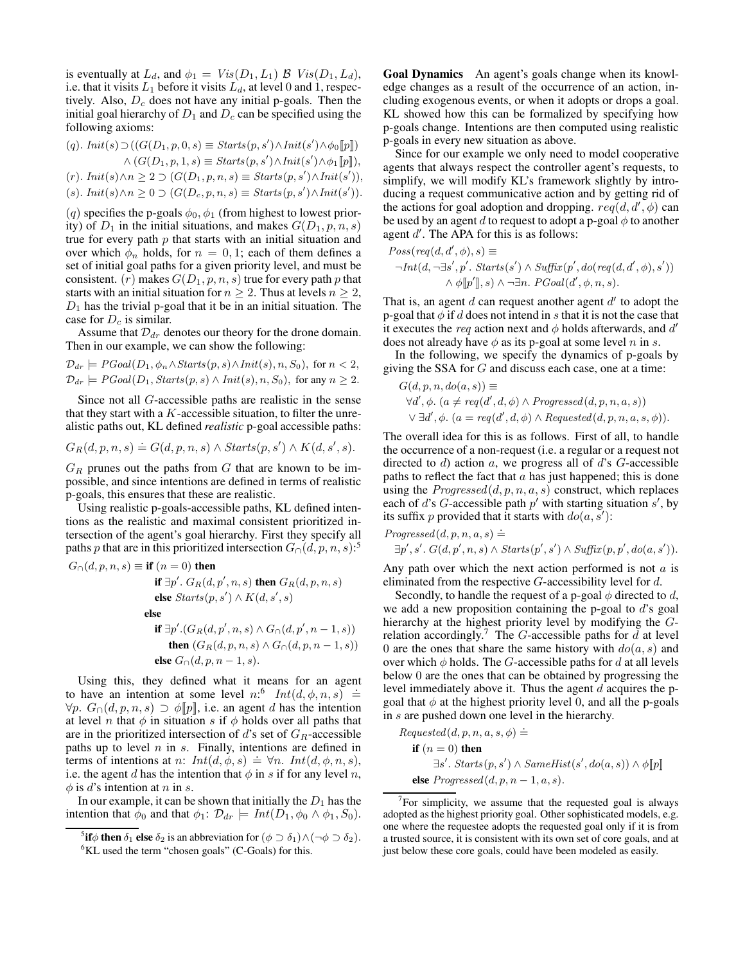is eventually at  $L_d$ , and  $\phi_1 = Vis(D_1, L_1)$   $\beta$   $Vis(D_1, L_d)$ , i.e. that it visits  $L_1$  before it visits  $L_d$ , at level 0 and 1, respectively. Also,  $D_c$  does not have any initial p-goals. Then the initial goal hierarchy of  $D_1$  and  $D_c$  can be specified using the following axioms:

 $(q)$ . Init $(s) \supset ((G(D_1, p, 0, s) \equiv \text{Starts}(p, s') \land \text{Init}(s') \land \phi_0[\![p]\!])$  $\wedge$   $(G(D_1, p, 1, s) \equiv \text{Starts}(p, s') \wedge \text{Init}(s') \wedge \phi_1[\![p]\!]),$  $(r)$ . Init $(s) \land n \geq 2 \supset (G(D_1, p, n, s) \equiv \text{Starts}(p, s') \land \text{Init}(s')),$  $(s)$ . Init $(s) \land n \geq 0 \supset (G(D_c, p, n, s) \equiv \text{Starts}(p, s') \land \text{Init}(s')).$ 

(q) specifies the p-goals  $\phi_0$ ,  $\phi_1$  (from highest to lowest priority) of  $D_1$  in the initial situations, and makes  $G(D_1, p, n, s)$ true for every path  $p$  that starts with an initial situation and over which  $\phi_n$  holds, for  $n = 0, 1$ ; each of them defines a set of initial goal paths for a given priority level, and must be consistent. (r) makes  $G(D_1, p, n, s)$  true for every path p that starts with an initial situation for  $n \geq 2$ . Thus at levels  $n \geq 2$ ,  $D_1$  has the trivial p-goal that it be in an initial situation. The case for  $D_c$  is similar.

Assume that  $\mathcal{D}_{dr}$  denotes our theory for the drone domain. Then in our example, we can show the following:

$$
\mathcal{D}_{dr} \models PGoal(D_1, \phi_n \land \mathit{Starts}(p, s) \land \mathit{Init}(s), n, S_0), \text{ for } n < 2,
$$
\n
$$
\mathcal{D}_{dr} \models PGoal(D_1, \mathit{Starts}(p, s) \land \mathit{Init}(s), n, S_0), \text{ for any } n \ge 2.
$$

Since not all G-accessible paths are realistic in the sense that they start with a  $K$ -accessible situation, to filter the unrealistic paths out, KL defined *realistic* p-goal accessible paths:

$$
G_R(d, p, n, s) \doteq G(d, p, n, s) \wedge Starts(p, s') \wedge K(d, s', s).
$$

 $G_R$  prunes out the paths from G that are known to be impossible, and since intentions are defined in terms of realistic p-goals, this ensures that these are realistic.

Using realistic p-goals-accessible paths, KL defined intentions as the realistic and maximal consistent prioritized intersection of the agent's goal hierarchy. First they specify all paths p that are in this prioritized intersection  $G_0(d, p, n, s)$ :<sup>[5](#page-3-0)</sup>

$$
G_{\cap}(d, p, n, s) \equiv \textbf{if } (n = 0) \text{ then}
$$
\n
$$
\textbf{if } \exists p'.\ G_R(d, p', n, s) \text{ then } G_R(d, p, n, s)
$$
\n
$$
\textbf{else } \textit{Starts}(p, s') \land K(d, s', s)
$$
\n
$$
\textbf{else}
$$
\n
$$
\textbf{if } \exists p'. (G_R(d, p', n, s) \land G_{\cap}(d, p', n - 1, s))
$$
\n
$$
\textbf{then } (G_R(d, p, n, s) \land G_{\cap}(d, p, n - 1, s))
$$
\n
$$
\textbf{else } G_{\cap}(d, p, n - 1, s).
$$

Using this, they defined what it means for an agent to have an intention at some level  $n:6$  $n:6$   $Int(d, \phi, n, s) \doteq$  $\forall p. G_{\cap}(d, p, n, s) \supset \phi[[p]],$  i.e. an agent d has the intention at level *n* that  $\phi$  in situation *s* if  $\phi$  holds over all paths that are in the prioritized intersection of d's set of  $G_R$ -accessible paths up to level  $n$  in  $s$ . Finally, intentions are defined in pairs up to lever *n* in s. Thinny, intentions are defined in<br>terms of intentions at *n*:  $Int(d, \phi, s) = \forall n$ .  $Int(d, \phi, n, s)$ , i.e. the agent d has the intention that  $\phi$  in s if for any level n,  $\phi$  is d's intention at n in s.

In our example, it can be shown that initially the  $D_1$  has the intention that  $\phi_0$  and that  $\phi_1$ :  $\mathcal{D}_{dr} \models Int(D_1, \phi_0 \land \phi_1, S_0)$ . Goal Dynamics An agent's goals change when its knowledge changes as a result of the occurrence of an action, including exogenous events, or when it adopts or drops a goal. KL showed how this can be formalized by specifying how p-goals change. Intentions are then computed using realistic p-goals in every new situation as above.

Since for our example we only need to model cooperative agents that always respect the controller agent's requests, to simplify, we will modify KL's framework slightly by introducing a request communicative action and by getting rid of the actions for goal adoption and dropping.  $req(d, d', \phi)$  can be used by an agent d to request to adopt a p-goal  $\phi$  to another agent  $d'$ . The APA for this is as follows:

$$
Poss(\text{req}(d, d', \phi), s) \equiv
$$
  
\n
$$
\neg \text{Int}(d, \neg \exists s', p'. \text{ starts}(s') \land \text{Suffix}(p', do(\text{req}(d, d', \phi), s'))
$$
  
\n
$$
\land \phi[\![p']\!], s) \land \neg \exists n. \text{PGoal}(d', \phi, n, s).
$$

That is, an agent  $d$  can request another agent  $d'$  to adopt the p-goal that  $\phi$  if d does not intend in s that it is not the case that it executes the req action next and  $\phi$  holds afterwards, and d' does not already have  $\phi$  as its p-goal at some level n in s.

In the following, we specify the dynamics of p-goals by giving the SSA for G and discuss each case, one at a time:

$$
G(d, p, n, do(a, s)) \equiv
$$
  
\n
$$
\forall d', \phi. \ (a \neq \text{req}(d', d, \phi) \land \text{Progressed}(d, p, n, a, s))
$$
  
\n
$$
\lor \exists d', \phi. \ (a = \text{req}(d', d, \phi) \land \text{Requested}(d, p, n, a, s, \phi)).
$$

The overall idea for this is as follows. First of all, to handle the occurrence of a non-request (i.e. a regular or a request not directed to  $d$ ) action  $a$ , we progress all of  $d$ 's  $G$ -accessible paths to reflect the fact that  $a$  has just happened; this is done using the  ${\it Progressed}(d, p, n, a, s)$  construct, which replaces each of d's G-accessible path  $p'$  with starting situation s', by its suffix p provided that it starts with  $do(a, s')$ :

*Progressed*(
$$
d, p, n, a, s
$$
)  $\doteq$   
 $\exists p', s'.$   $G(d, p', n, s) \land$  *Starts*( $p', s')$   $\land$  *Suffix*( $p, p', do(a, s')$ ).

Any path over which the next action performed is not  $\alpha$  is eliminated from the respective  $G$ -accessibility level for  $d$ .

Secondly, to handle the request of a p-goal  $\phi$  directed to d, we add a new proposition containing the p-goal to d's goal hierarchy at the highest priority level by modifying the G-relation accordingly.<sup>[7](#page-3-2)</sup> The G-accessible paths for  $\overline{d}$  at level 0 are the ones that share the same history with  $do(a, s)$  and over which  $\phi$  holds. The G-accessible paths for d at all levels below 0 are the ones that can be obtained by progressing the level immediately above it. Thus the agent  $d$  acquires the pgoal that  $\phi$  at the highest priority level 0, and all the p-goals in s are pushed down one level in the hierarchy.

Required(d, p, n, a, s, 
$$
\phi
$$
) =  
\n**if** (n = 0) **then**  
\n $\exists s'.$  *Starts*(p, s')  $\land$  *SameHist*(s', do(a, s))  $\land \phi[[p]]$   
\n**else** *Progressed*(d, p, n - 1, a, s).

<sup>&</sup>lt;sup>5</sup>if $\phi$  then  $\delta_1$  else  $\delta_2$  is an abbreviation for  $(\phi \supset \delta_1) \wedge (\neg \phi \supset \delta_2)$ .

<span id="page-3-1"></span><span id="page-3-0"></span> ${}^{6}$ KL used the term "chosen goals" (C-Goals) for this.

<span id="page-3-2"></span> $7$  For simplicity, we assume that the requested goal is always adopted as the highest priority goal. Other sophisticated models, e.g. one where the requestee adopts the requested goal only if it is from a trusted source, it is consistent with its own set of core goals, and at just below these core goals, could have been modeled as easily.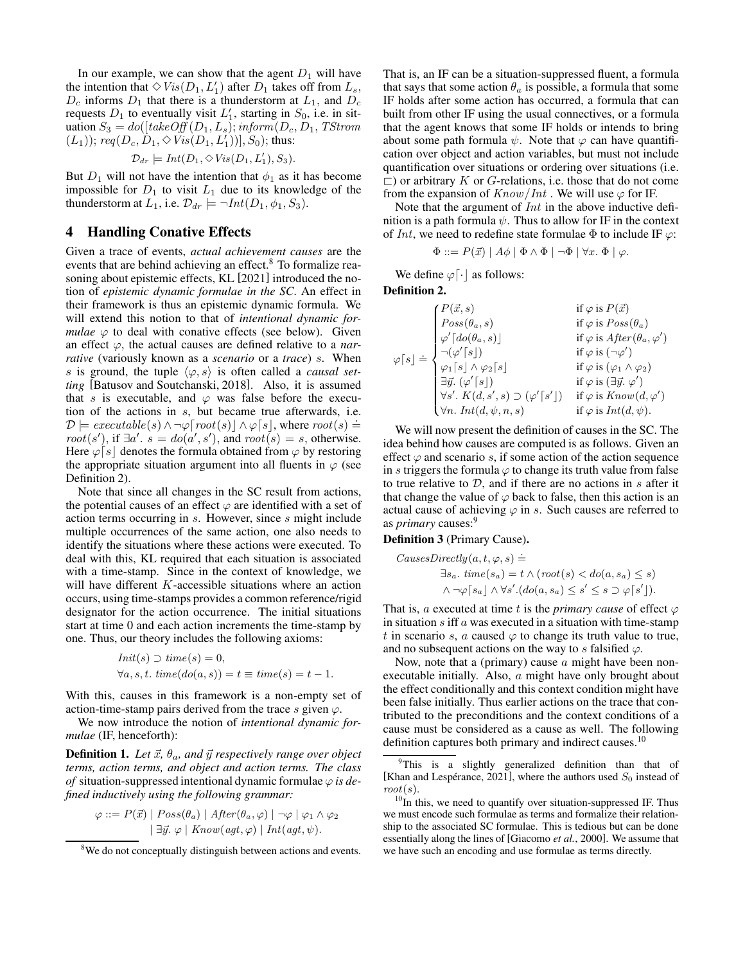In our example, we can show that the agent  $D_1$  will have the intention that  $\Diamond Vis(D_1, L'_1)$  after  $D_1$  takes off from  $L_s$ ,  $D_c$  informs  $D_1$  that there is a thunderstorm at  $L_1$ , and  $D_c$ requests  $D_1$  to eventually visit  $L'_1$ , starting in  $S_0$ , i.e. in situation  $S_3 = do([take \, off(D_1, L_s); inform(D_c, D_1, TStrom$  $(L_1)$ ); req $(D_c, D_1, \Diamond \tilde{Vis}(D_1, L'_1))]$ ,  $S_0$ ); thus:

$$
\mathcal{D}_{dr} \models Int(D_1, \diamond Vis(D_1, L'_1), S_3).
$$

But  $D_1$  will not have the intention that  $\phi_1$  as it has become impossible for  $D_1$  to visit  $L_1$  due to its knowledge of the thunderstorm at  $L_1$ , i.e.  $\mathcal{D}_{dr} \models \neg Int(D_1, \phi_1, S_3)$ .

## 4 Handling Conative Effects

Given a trace of events, *actual achievement causes* are the events that are behind achieving an effect.<sup>[8](#page-4-0)</sup> To formalize reasoning about epistemic effects, KL [\[2021\]](#page-6-10) introduced the notion of *epistemic dynamic formulae in the SC*. An effect in their framework is thus an epistemic dynamic formula. We will extend this notion to that of *intentional dynamic formulae*  $\varphi$  to deal with conative effects (see below). Given an effect  $\varphi$ , the actual causes are defined relative to a *narrative* (variously known as a *scenario* or a *trace*) s. When s is ground, the tuple  $\langle \varphi, s \rangle$  is often called a *causal setting* [\[Batusov and Soutchanski, 2018\]](#page-6-9). Also, it is assumed that s is executable, and  $\varphi$  was false before the execution of the actions in s, but became true afterwards, i.e.  $\mathcal{D} \models \text{execute}(s) \land \neg \varphi[\text{root}(s)] \land \varphi[s], \text{where } \text{root}(s) \doteq$  $root(s')$ , if  $\exists a'$ .  $s' = do(a', s')$ , and  $root(s) = s$ , otherwise. Here  $\varphi[s]$  denotes the formula obtained from  $\varphi$  by restoring the appropriate situation argument into all fluents in  $\varphi$  (see Definition [2\)](#page-4-1).

Note that since all changes in the SC result from actions, the potential causes of an effect  $\varphi$  are identified with a set of action terms occurring in s. However, since s might include multiple occurrences of the same action, one also needs to identify the situations where these actions were executed. To deal with this, KL required that each situation is associated with a time-stamp. Since in the context of knowledge, we will have different K-accessible situations where an action occurs, using time-stamps provides a common reference/rigid designator for the action occurrence. The initial situations start at time 0 and each action increments the time-stamp by one. Thus, our theory includes the following axioms:

$$
Init(s) \supset time(s) = 0,
$$
  

$$
\forall a, s, t. \ time(do(a, s)) = t \equiv time(s) = t - 1.
$$

With this, causes in this framework is a non-empty set of action-time-stamp pairs derived from the trace s given  $\varphi$ .

We now introduce the notion of *intentional dynamic formulae* (IF, henceforth):

**Definition 1.** Let  $\vec{x}$ ,  $\theta_a$ , and  $\vec{y}$  respectively range over object *terms, action terms, and object and action terms. The class of* situation-suppressed intentional dynamic formulae  $\varphi$  *is defined inductively using the following grammar:*

$$
\varphi ::= P(\vec{x}) \mid Poss(\theta_a) \mid After(\theta_a, \varphi) \mid \neg \varphi \mid \varphi_1 \land \varphi_2
$$

$$
\mid \exists \vec{y}. \varphi \mid Know(agt, \varphi) \mid Int(agt, \psi).
$$

That is, an IF can be a situation-suppressed fluent, a formula that says that some action  $\theta_a$  is possible, a formula that some IF holds after some action has occurred, a formula that can built from other IF using the usual connectives, or a formula that the agent knows that some IF holds or intends to bring about some path formula  $\psi$ . Note that  $\varphi$  can have quantification over object and action variables, but must not include quantification over situations or ordering over situations (i.e.  $\Box$ ) or arbitrary K or G-relations, i.e. those that do not come from the expansion of  $Know/Int$ . We will use  $\varphi$  for IF.

Note that the argument of Int in the above inductive definition is a path formula  $\psi$ . Thus to allow for IF in the context of Int, we need to redefine state formulae  $\Phi$  to include IF  $\varphi$ :

$$
\Phi ::= P(\vec{x}) \mid A\phi \mid \Phi \land \Phi \mid \neg \Phi \mid \forall x. \ \Phi \mid \varphi.
$$

We define  $\varphi[\cdot]$  as follows:

<span id="page-4-1"></span>Definition 2.

$$
\varphi[s] \doteq \begin{cases}\nP(\vec{x},s) & \text{if } \varphi \text{ is } P(\vec{x}) \\
Pos(\theta_a, s) & \text{if } \varphi \text{ is } Poss(\theta_a) \\
\varphi'[do(\theta_a, s)] & \text{if } \varphi \text{ is } After(\theta_a, \varphi') \\
\neg(\varphi'[s]) & \text{if } \varphi \text{ is } (\neg \varphi') \\
\varphi[s] \wedge \varphi_2[s] & \text{if } \varphi \text{ is } (\varphi_1 \wedge \varphi_2) \\
\exists \vec{y}. (\varphi'[s]) & \text{if } \varphi \text{ is } (\exists \vec{y}. \varphi') \\
\forall s'. K(d, s', s) \supset (\varphi'[s']) & \text{if } \varphi \text{ is } Know(d, \varphi') \\
\forall n. Int(d, \psi, n, s) & \text{if } \varphi \text{ is } Int(d, \psi).\n\end{cases}
$$

We will now present the definition of causes in the SC. The idea behind how causes are computed is as follows. Given an effect  $\varphi$  and scenario s, if some action of the action sequence in s triggers the formula  $\varphi$  to change its truth value from false to true relative to  $D$ , and if there are no actions in s after it that change the value of  $\varphi$  back to false, then this action is an actual cause of achieving  $\varphi$  in s. Such causes are referred to as *primary* causes:[9](#page-4-2)

#### Definition 3 (Primary Cause).

\n
$$
\text{CausesDirectly}(a, t, \varphi, s) \neq
$$
\n

\n\n $\exists s_a. \text{ time}(s_a) = t \land (\text{root}(s) < \text{do}(a, s_a) \leq s)$ \n

\n\n $\land \neg \varphi[s_a] \land \forall s'.(\text{do}(a, s_a) \leq s' \leq s \supset \varphi[s'])$ \n

That is, a executed at time t is the *primary cause* of effect  $\varphi$ in situation  $s$  iff  $a$  was executed in a situation with time-stamp t in scenario s, a caused  $\varphi$  to change its truth value to true, and no subsequent actions on the way to s falsified  $\varphi$ .

Now, note that a (primary) cause  $a$  might have been nonexecutable initially. Also, a might have only brought about the effect conditionally and this context condition might have been false initially. Thus earlier actions on the trace that contributed to the preconditions and the context conditions of a cause must be considered as a cause as well. The following definition captures both primary and indirect causes.<sup>[10](#page-4-3)</sup>

<span id="page-4-0"></span><sup>&</sup>lt;sup>8</sup>We do not conceptually distinguish between actions and events.

<span id="page-4-2"></span><sup>&</sup>lt;sup>9</sup>This is a slightly generalized definition than that of [Khan and Lespérance, 2021], where the authors used  $S_0$  instead of  $root(s)$ .

<span id="page-4-3"></span> $10$ In this, we need to quantify over situation-suppressed IF. Thus we must encode such formulae as terms and formalize their relationship to the associated SC formulae. This is tedious but can be done essentially along the lines of [\[Giacomo](#page-6-16) *et al.*, 2000]. We assume that we have such an encoding and use formulae as terms directly.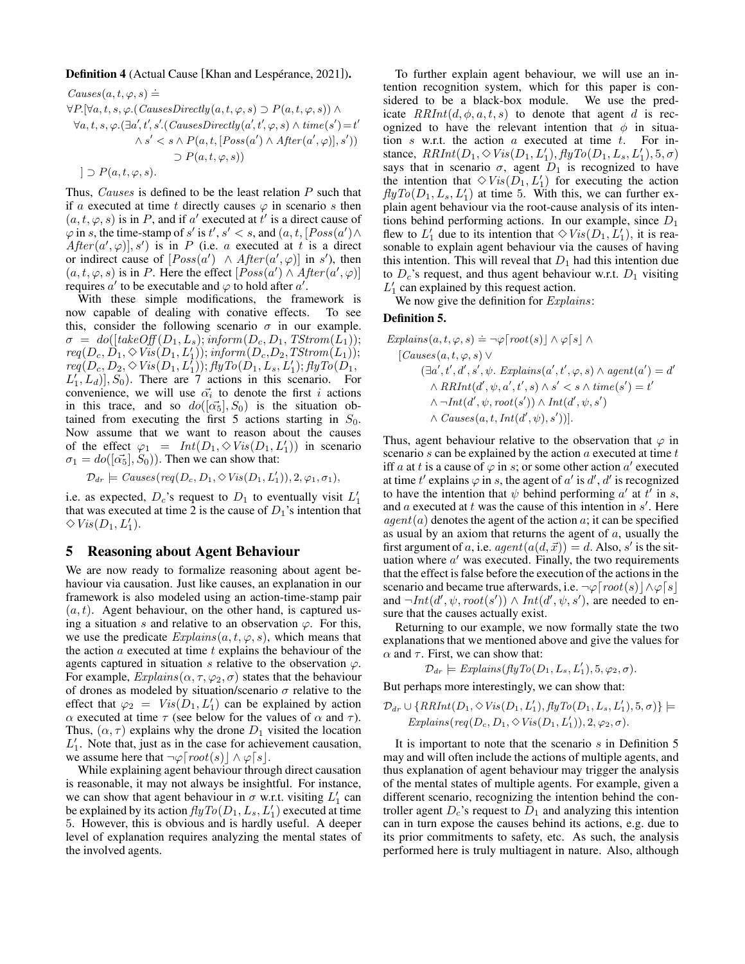#### Definition 4 (Actual Cause [Khan and Lespérance, 2021]).

\n
$$
Causes(a, t, \varphi, s) \doteq
$$
\n
$$
\forall P. [\forall a, t, s, \varphi. (CausesDirectly(a, t, \varphi, s) \supset P(a, t, \varphi, s)) \land \forall a, t, s, \varphi. (\exists a', t', s'. (CausesDirectly(a', t', \varphi, s) \land time(s') = t' \land s' < s \land P(a, t, [Poss(a') \land After(a', \varphi)], s'))
$$
\n
$$
\supset P(a, t, \varphi, s).
$$
\n

\n\n
$$
\bigcup_{i=1}^{n} P(a, t, \varphi, s).
$$
\n

Thus, *Causes* is defined to be the least relation P such that if a executed at time t directly causes  $\varphi$  in scenario s then  $(a, t, \varphi, s)$  is in P, and if a' executed at t' is a direct cause of  $\varphi$  in s, the time-stamp of s' is t', s' < s, and  $(a, t, [Poss(a') \wedge$  $After (a', \varphi)], s'$  is in P (i.e. a executed at t is a direct or indirect cause of  $[Poss(\alpha') \land After(\alpha', \varphi)]$  in s'), then  $(a, t, \varphi, s)$  is in P. Here the effect  $\left[Poss(a')\land After(a', \varphi)\right]$ requires a' to be executable and  $\varphi$  to hold after a'.

With these simple modifications, the framework is now capable of dealing with conative effects. To see this, consider the following scenario  $\sigma$  in our example.  $\sigma = do([takeOff(D_1, L_s); inform(D_c, D_1, TStrom(L_1));$  $req(D_c, \ddot{D_1}, \diamond V\dddot{is}(D_1, L_1')); \text{inform}(D_c, D_2, TStrom(L_1))';$  $req(D_c, D_2, \diamond Vis(D_1, L'_1)); flyTo(D_1, L_s, L'_1); flyTo(D_1,$  $L'_1, L_d$ ),  $S_0$ ). There are 7 actions in this scenario. For convenience, we will use  $\vec{\alpha_i}$  to denote the first i actions in this trace, and so  $do([\vec{\alpha_5}], S_0)$  is the situation obtained from executing the first 5 actions starting in  $S_0$ . Now assume that we want to reason about the causes of the effect  $\varphi_1 = Int(D_1, \Diamond Vis(D_1, L'_1))$  in scenario  $\sigma_1 = \text{do}([\vec{\alpha_5}], S_0)$ . Then we can show that:

$$
\mathcal{D}_{dr} \models \text{Causes}(\text{req}(D_c, D_1, \Diamond \text{Vis}(D_1, L'_1)), 2, \varphi_1, \sigma_1),
$$

i.e. as expected,  $D_c$ 's request to  $D_1$  to eventually visit  $L'_1$ that was executed at time 2 is the cause of  $D_1$ 's intention that  $\diamond$  Vis(D<sub>1</sub>, L'<sub>1</sub>).

## 5 Reasoning about Agent Behaviour

We are now ready to formalize reasoning about agent behaviour via causation. Just like causes, an explanation in our framework is also modeled using an action-time-stamp pair  $(a, t)$ . Agent behaviour, on the other hand, is captured using a situation s and relative to an observation  $\varphi$ . For this, we use the predicate  $Explains(a, t, \varphi, s)$ , which means that the action  $a$  executed at time  $t$  explains the behaviour of the agents captured in situation s relative to the observation  $\varphi$ . For example,  $Explains(\alpha, \tau, \varphi_2, \sigma)$  states that the behaviour of drones as modeled by situation/scenario  $\sigma$  relative to the effect that  $\varphi_2 = Vis(\tilde{D}_1, L'_1)$  can be explained by action  $\alpha$  executed at time  $\tau$  (see below for the values of  $\alpha$  and  $\tau$ ). Thus,  $(\alpha, \tau)$  explains why the drone  $D_1$  visited the location  $L'_1$ . Note that, just as in the case for achievement causation, we assume here that  $\neg \varphi \lceil root(s) \rceil \wedge \varphi \lceil s \rceil$ .

While explaining agent behaviour through direct causation is reasonable, it may not always be insightful. For instance, we can show that agent behaviour in  $\sigma$  w.r.t. visiting  $L'_1$  can be explained by its action  $flyTo(D_1, L_s, L'_1)$  executed at time 5. However, this is obvious and is hardly useful. A deeper level of explanation requires analyzing the mental states of the involved agents.

To further explain agent behaviour, we will use an intention recognition system, which for this paper is considered to be a black-box module. We use the predicate  $RRInt(d, \phi, a, t, s)$  to denote that agent d is recognized to have the relevant intention that  $\phi$  in situation  $s$  w.r.t. the action  $a$  executed at time  $t$ . For instance,  $RRInt(D_1, \Diamond Vis(D_1, L'_1), flyTo(D_1, L_s, L'_1), 5, \sigma)$ says that in scenario  $\sigma$ , agent  $D_1$  is recognized to have the intention that  $\Diamond Vis(D_1, L'_1)$  for executing the action  $flyTo(D_1, L_s, L'_1)$  at time 5. With this, we can further explain agent behaviour via the root-cause analysis of its intentions behind performing actions. In our example, since  $D_1$ flew to  $L'_1$  due to its intention that  $\Diamond Vis(D_1, L'_1)$ , it is reasonable to explain agent behaviour via the causes of having this intention. This will reveal that  $D_1$  had this intention due to  $D_c$ 's request, and thus agent behaviour w.r.t.  $D_1$  visiting  $L'_1$  can explained by this request action.

We now give the definition for *Explains*:

#### <span id="page-5-0"></span>Definition 5.

$$
Explains(a, t, \varphi, s) \doteq \neg \varphi \{root(s) \} \land \varphi \{s \} \land
$$
  
\n
$$
[Causes(a, t, \varphi, s) \lor
$$
  
\n
$$
(\exists a', t', d', s', \psi. Explains(a', t', \varphi, s) \land agent(a') = d'
$$
  
\n
$$
\land RRInt(d', \psi, a', t', s) \land s' < s \land time(s') = t'
$$
  
\n
$$
\land \neg Int(d', \psi, root(s')) \land Int(d', \psi, s')
$$
  
\n
$$
\land Causes(a, t, Int(d', \psi), s'))].
$$

Thus, agent behaviour relative to the observation that  $\varphi$  in scenario  $s$  can be explained by the action  $a$  executed at time  $t$ iff a at t is a cause of  $\varphi$  in s; or some other action a' executed at time t' explains  $\varphi$  in s, the agent of a' is d', d' is recognized to have the intention that  $\psi$  behind performing  $a'$  at  $\tilde{t}'$  in s, and a executed at t was the cause of this intention in  $s'$ . Here  $agent(a)$  denotes the agent of the action a; it can be specified as usual by an axiom that returns the agent of  $a$ , usually the first argument of a, i.e.  $agent(a(d, \vec{x})) = d$ . Also, s' is the situation where  $a'$  was executed. Finally, the two requirements that the effect is false before the execution of the actions in the scenario and became true afterwards, i.e.  $\neg \varphi \lceil root(s) | \wedge \varphi \lceil s \rceil$ and  $\neg Int(d', \psi, root(s')) \wedge Int(d', \psi, s')$ , are needed to ensure that the causes actually exist.

Returning to our example, we now formally state the two explanations that we mentioned above and give the values for  $\alpha$  and  $\tau$ . First, we can show that:

$$
\mathcal{D}_{dr} \models \text{Explains}(\text{flyTo}(D_1, L_s, L'_1), 5, \varphi_2, \sigma).
$$

But perhaps more interestingly, we can show that:

$$
\mathcal{D}_{dr} \cup \{RRInt(D_1, \diamond Vis(D_1, L'_1), flyTo(D_1, L_s, L'_1), 5, \sigma)\} \models
$$
  
Explains(req(D\_c, D\_1, \diamond Vis(D\_1, L'\_1)), 2, \varphi\_2, \sigma).

It is important to note that the scenario  $s$  in Definition  $5$ may and will often include the actions of multiple agents, and thus explanation of agent behaviour may trigger the analysis of the mental states of multiple agents. For example, given a different scenario, recognizing the intention behind the controller agent  $D_c$ 's request to  $D_1$  and analyzing this intention can in turn expose the causes behind its actions, e.g. due to its prior commitments to safety, etc. As such, the analysis performed here is truly multiagent in nature. Also, although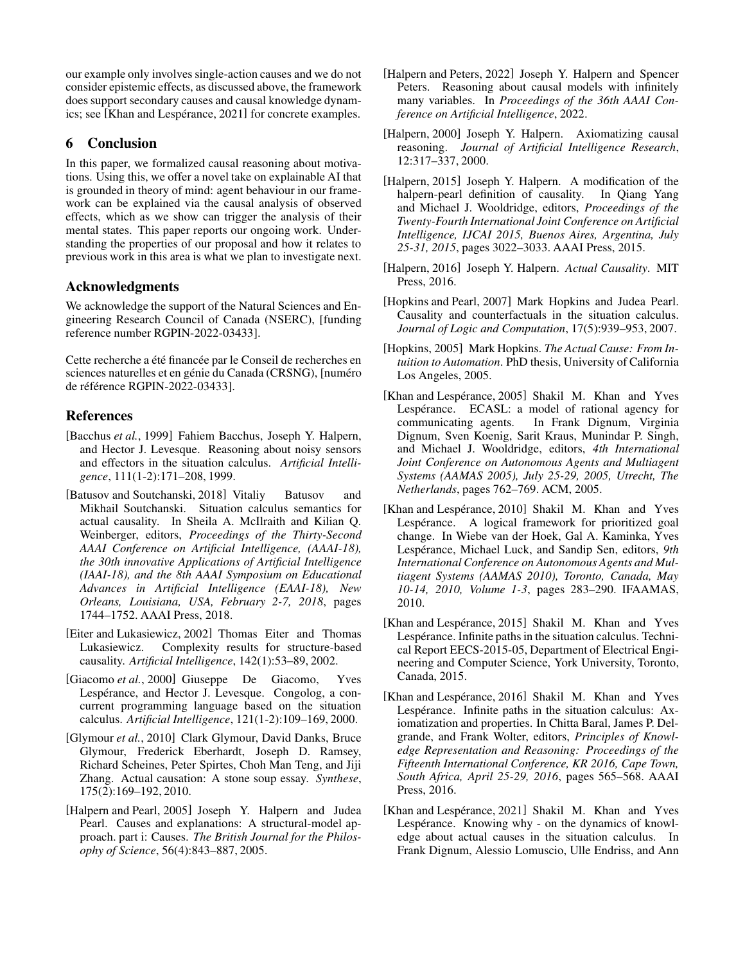our example only involves single-action causes and we do not consider epistemic effects, as discussed above, the framework does support secondary causes and causal knowledge dynamics; see [Khan and Lespérance, 2021] for concrete examples.

## 6 Conclusion

In this paper, we formalized causal reasoning about motivations. Using this, we offer a novel take on explainable AI that is grounded in theory of mind: agent behaviour in our framework can be explained via the causal analysis of observed effects, which as we show can trigger the analysis of their mental states. This paper reports our ongoing work. Understanding the properties of our proposal and how it relates to previous work in this area is what we plan to investigate next.

## Acknowledgments

We acknowledge the support of the Natural Sciences and Engineering Research Council of Canada (NSERC), [funding reference number RGPIN-2022-03433].

Cette recherche a été financée par le Conseil de recherches en sciences naturelles et en génie du Canada (CRSNG), [numéro de référence RGPIN-2022-03433].

## References

- <span id="page-6-12"></span>[Bacchus *et al.*, 1999] Fahiem Bacchus, Joseph Y. Halpern, and Hector J. Levesque. Reasoning about noisy sensors and effectors in the situation calculus. *Artificial Intelligence*, 111(1-2):171–208, 1999.
- <span id="page-6-9"></span>[Batusov and Soutchanski, 2018] Vitaliy Batusov and Mikhail Soutchanski. Situation calculus semantics for actual causality. In Sheila A. McIlraith and Kilian Q. Weinberger, editors, *Proceedings of the Thirty-Second AAAI Conference on Artificial Intelligence, (AAAI-18), the 30th innovative Applications of Artificial Intelligence (IAAI-18), and the 8th AAAI Symposium on Educational Advances in Artificial Intelligence (EAAI-18), New Orleans, Louisiana, USA, February 2-7, 2018*, pages 1744–1752. AAAI Press, 2018.
- <span id="page-6-2"></span>[Eiter and Lukasiewicz, 2002] Thomas Eiter and Thomas Lukasiewicz. Complexity results for structure-based causality. *Artificial Intelligence*, 142(1):53–89, 2002.
- <span id="page-6-16"></span>[Giacomo *et al.*, 2000] Giuseppe De Giacomo, Yves Lespérance, and Hector J. Levesque. Congolog, a concurrent programming language based on the situation calculus. *Artificial Intelligence*, 121(1-2):109–169, 2000.
- <span id="page-6-7"></span>[Glymour *et al.*, 2010] Clark Glymour, David Danks, Bruce Glymour, Frederick Eberhardt, Joseph D. Ramsey, Richard Scheines, Peter Spirtes, Choh Man Teng, and Jiji Zhang. Actual causation: A stone soup essay. *Synthese*, 175(2):169–192, 2010.
- <span id="page-6-1"></span>[Halpern and Pearl, 2005] Joseph Y. Halpern and Judea Pearl. Causes and explanations: A structural-model approach. part i: Causes. *The British Journal for the Philosophy of Science*, 56(4):843–887, 2005.
- <span id="page-6-8"></span>[Halpern and Peters, 2022] Joseph Y. Halpern and Spencer Peters. Reasoning about causal models with infinitely many variables. In *Proceedings of the 36th AAAI Conference on Artificial Intelligence*, 2022.
- <span id="page-6-0"></span>[Halpern, 2000] Joseph Y. Halpern. Axiomatizing causal reasoning. *Journal of Artificial Intelligence Research*, 12:317–337, 2000.
- <span id="page-6-5"></span>[Halpern, 2015] Joseph Y. Halpern. A modification of the halpern-pearl definition of causality. In Qiang Yang and Michael J. Wooldridge, editors, *Proceedings of the Twenty-Fourth International Joint Conference on Artificial Intelligence, IJCAI 2015, Buenos Aires, Argentina, July 25-31, 2015*, pages 3022–3033. AAAI Press, 2015.
- <span id="page-6-6"></span>[Halpern, 2016] Joseph Y. Halpern. *Actual Causality*. MIT Press, 2016.
- <span id="page-6-4"></span>[Hopkins and Pearl, 2007] Mark Hopkins and Judea Pearl. Causality and counterfactuals in the situation calculus. *Journal of Logic and Computation*, 17(5):939–953, 2007.
- <span id="page-6-3"></span>[Hopkins, 2005] Mark Hopkins. *The Actual Cause: From Intuition to Automation*. PhD thesis, University of California Los Angeles, 2005.
- <span id="page-6-11"></span>[Khan and Lespérance, 2005] Shakil M. Khan and Yves Lespérance. ECASL: a model of rational agency for communicating agents. In Frank Dignum, Virginia Dignum, Sven Koenig, Sarit Kraus, Munindar P. Singh, and Michael J. Wooldridge, editors, *4th International Joint Conference on Autonomous Agents and Multiagent Systems (AAMAS 2005), July 25-29, 2005, Utrecht, The Netherlands*, pages 762–769. ACM, 2005.
- <span id="page-6-15"></span>[Khan and Lespérance, 2010] Shakil M. Khan and Yves Lespérance. A logical framework for prioritized goal change. In Wiebe van der Hoek, Gal A. Kaminka, Yves Lespérance, Michael Luck, and Sandip Sen, editors, 9th *International Conference on Autonomous Agents and Multiagent Systems (AAMAS 2010), Toronto, Canada, May 10-14, 2010, Volume 1-3*, pages 283–290. IFAAMAS, 2010.
- <span id="page-6-14"></span>[Khan and Lespérance, 2015] Shakil M. Khan and Yves Lespérance. Infinite paths in the situation calculus. Technical Report EECS-2015-05, Department of Electrical Engineering and Computer Science, York University, Toronto, Canada, 2015.
- <span id="page-6-13"></span>[Khan and Lespérance, 2016] Shakil M. Khan and Yves Lespérance. Infinite paths in the situation calculus: Axiomatization and properties. In Chitta Baral, James P. Delgrande, and Frank Wolter, editors, *Principles of Knowledge Representation and Reasoning: Proceedings of the Fifteenth International Conference, KR 2016, Cape Town, South Africa, April 25-29, 2016*, pages 565–568. AAAI Press, 2016.
- <span id="page-6-10"></span>[Khan and Lespérance, 2021] Shakil M. Khan and Yves Lespérance. Knowing why - on the dynamics of knowledge about actual causes in the situation calculus. In Frank Dignum, Alessio Lomuscio, Ulle Endriss, and Ann